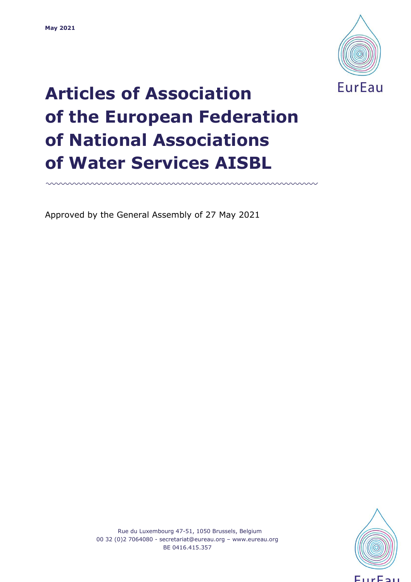

# **Articles of Association of the European Federation of National Associations of Water Services AISBL**

mmmmmmmmmmmmmmmmmmm

Approved by the General Assembly of 27 May 2021



Rue du Luxembourg 47-51, 1050 Brussels, Belgium 00 32 (0)2 7064080 - [secretariat@eureau.org](mailto:secretariat@eureau.org) – [www.eureau.org](http://www.eureau.org/) BE 0416.415.357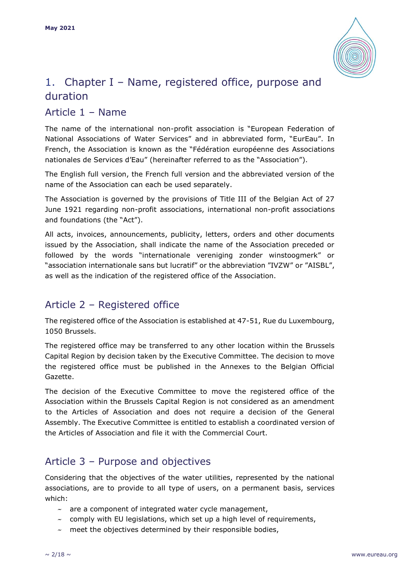

# 1. Chapter I – Name, registered office, purpose and duration

## Article 1 – Name

The name of the international non-profit association is "European Federation of National Associations of Water Services" and in abbreviated form, "EurEau". In French, the Association is known as the "Fédération européenne des Associations nationales de Services d'Eau" (hereinafter referred to as the "Association").

The English full version, the French full version and the abbreviated version of the name of the Association can each be used separately.

The Association is governed by the provisions of Title III of the Belgian Act of 27 June 1921 regarding non-profit associations, international non-profit associations and foundations (the "Act").

All acts, invoices, announcements, publicity, letters, orders and other documents issued by the Association, shall indicate the name of the Association preceded or followed by the words "internationale vereniging zonder winstoogmerk" or "association internationale sans but lucratif" or the abbreviation "IVZW" or "AISBL", as well as the indication of the registered office of the Association.

# Article 2 – Registered office

The registered office of the Association is established at 47-51, Rue du Luxembourg, 1050 Brussels.

The registered office may be transferred to any other location within the Brussels Capital Region by decision taken by the Executive Committee. The decision to move the registered office must be published in the Annexes to the Belgian Official Gazette.

The decision of the Executive Committee to move the registered office of the Association within the Brussels Capital Region is not considered as an amendment to the Articles of Association and does not require a decision of the General Assembly. The Executive Committee is entitled to establish a coordinated version of the Articles of Association and file it with the Commercial Court.

## Article 3 – Purpose and objectives

Considering that the objectives of the water utilities, represented by the national associations, are to provide to all type of users, on a permanent basis, services which:

- $\sim$  are a component of integrated water cycle management,
- $\sim$  comply with EU legislations, which set up a high level of requirements,
- $\sim$  meet the objectives determined by their responsible bodies,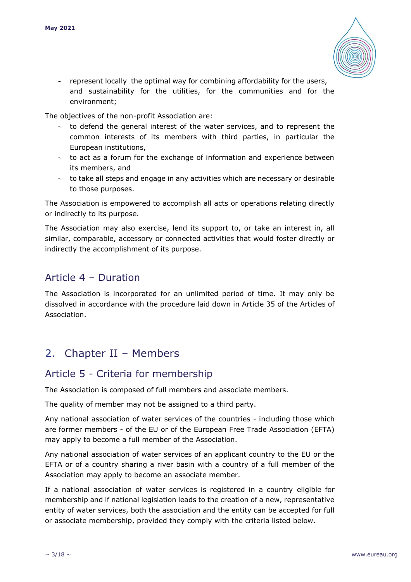

 $\sim$  represent locally the optimal way for combining affordability for the users, and sustainability for the utilities, for the communities and for the environment;

The objectives of the non-profit Association are:

- $\sim$  to defend the general interest of the water services, and to represent the common interests of its members with third parties, in particular the European institutions,
- $\sim$  to act as a forum for the exchange of information and experience between its members, and
- $\sim$  to take all steps and engage in any activities which are necessary or desirable to those purposes.

The Association is empowered to accomplish all acts or operations relating directly or indirectly to its purpose.

The Association may also exercise, lend its support to, or take an interest in, all similar, comparable, accessory or connected activities that would foster directly or indirectly the accomplishment of its purpose.

## Article 4 – Duration

The Association is incorporated for an unlimited period of time. It may only be dissolved in accordance with the procedure laid down in Article 35 of the Articles of Association.

# 2. Chapter II – Members

#### Article 5 - Criteria for membership

The Association is composed of full members and associate members.

The quality of member may not be assigned to a third party.

Any national association of water services of the countries - including those which are former members - of the EU or of the European Free Trade Association (EFTA) may apply to become a full member of the Association.

Any national association of water services of an applicant country to the EU or the EFTA or of a country sharing a river basin with a country of a full member of the Association may apply to become an associate member.

If a national association of water services is registered in a country eligible for membership and if national legislation leads to the creation of a new, representative entity of water services, both the association and the entity can be accepted for full or associate membership, provided they comply with the criteria listed below.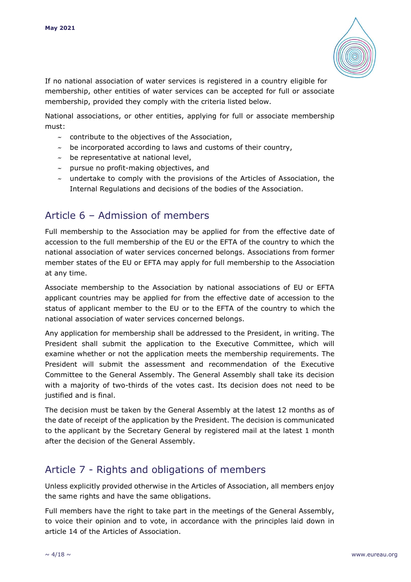

If no national association of water services is registered in a country eligible for membership, other entities of water services can be accepted for full or associate membership, provided they comply with the criteria listed below.

National associations, or other entities, applying for full or associate membership must:

- $\sim$  contribute to the objectives of the Association,
- $\sim$  be incorporated according to laws and customs of their country,
- $\sim$  be representative at national level,
- $\sim$  pursue no profit-making objectives, and
- $\sim$  undertake to comply with the provisions of the Articles of Association, the Internal Regulations and decisions of the bodies of the Association.

## Article 6 – Admission of members

Full membership to the Association may be applied for from the effective date of accession to the full membership of the EU or the EFTA of the country to which the national association of water services concerned belongs. Associations from former member states of the EU or EFTA may apply for full membership to the Association at any time.

Associate membership to the Association by national associations of EU or EFTA applicant countries may be applied for from the effective date of accession to the status of applicant member to the EU or to the EFTA of the country to which the national association of water services concerned belongs.

Any application for membership shall be addressed to the President, in writing. The President shall submit the application to the Executive Committee, which will examine whether or not the application meets the membership requirements. The President will submit the assessment and recommendation of the Executive Committee to the General Assembly. The General Assembly shall take its decision with a majority of two-thirds of the votes cast. Its decision does not need to be justified and is final.

The decision must be taken by the General Assembly at the latest 12 months as of the date of receipt of the application by the President. The decision is communicated to the applicant by the Secretary General by registered mail at the latest 1 month after the decision of the General Assembly.

## Article 7 - Rights and obligations of members

Unless explicitly provided otherwise in the Articles of Association, all members enjoy the same rights and have the same obligations.

Full members have the right to take part in the meetings of the General Assembly, to voice their opinion and to vote, in accordance with the principles laid down in article 14 of the Articles of Association.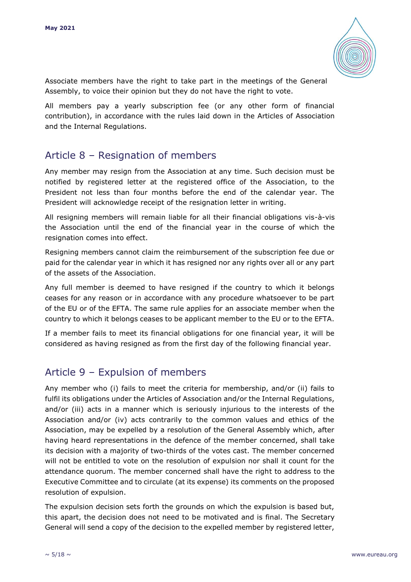

Associate members have the right to take part in the meetings of the General Assembly, to voice their opinion but they do not have the right to vote.

All members pay a yearly subscription fee (or any other form of financial contribution), in accordance with the rules laid down in the Articles of Association and the Internal Regulations.

## Article 8 – Resignation of members

Any member may resign from the Association at any time. Such decision must be notified by registered letter at the registered office of the Association, to the President not less than four months before the end of the calendar year. The President will acknowledge receipt of the resignation letter in writing.

All resigning members will remain liable for all their financial obligations vis-à-vis the Association until the end of the financial year in the course of which the resignation comes into effect.

Resigning members cannot claim the reimbursement of the subscription fee due or paid for the calendar year in which it has resigned nor any rights over all or any part of the assets of the Association.

Any full member is deemed to have resigned if the country to which it belongs ceases for any reason or in accordance with any procedure whatsoever to be part of the EU or of the EFTA. The same rule applies for an associate member when the country to which it belongs ceases to be applicant member to the EU or to the EFTA.

If a member fails to meet its financial obligations for one financial year, it will be considered as having resigned as from the first day of the following financial year.

# Article 9 – Expulsion of members

Any member who (i) fails to meet the criteria for membership, and/or (ii) fails to fulfil its obligations under the Articles of Association and/or the Internal Regulations, and/or (iii) acts in a manner which is seriously injurious to the interests of the Association and/or (iv) acts contrarily to the common values and ethics of the Association, may be expelled by a resolution of the General Assembly which, after having heard representations in the defence of the member concerned, shall take its decision with a majority of two-thirds of the votes cast. The member concerned will not be entitled to vote on the resolution of expulsion nor shall it count for the attendance quorum. The member concerned shall have the right to address to the Executive Committee and to circulate (at its expense) its comments on the proposed resolution of expulsion.

The expulsion decision sets forth the grounds on which the expulsion is based but, this apart, the decision does not need to be motivated and is final. The Secretary General will send a copy of the decision to the expelled member by registered letter,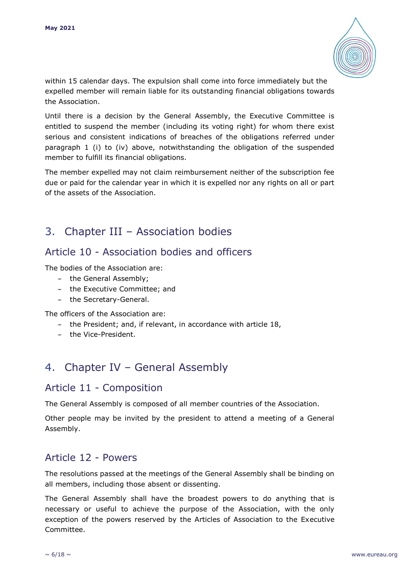

within 15 calendar days. The expulsion shall come into force immediately but the expelled member will remain liable for its outstanding financial obligations towards the Association.

Until there is a decision by the General Assembly, the Executive Committee is entitled to suspend the member (including its voting right) for whom there exist serious and consistent indications of breaches of the obligations referred under paragraph 1 (i) to (iv) above, notwithstanding the obligation of the suspended member to fulfill its financial obligations.

The member expelled may not claim reimbursement neither of the subscription fee due or paid for the calendar year in which it is expelled nor any rights on all or part of the assets of the Association.

# 3. Chapter III – Association bodies

## Article 10 - Association bodies and officers

The bodies of the Association are:

- $\sim$  the General Assembly;
- $\sim$  the Executive Committee; and
- $\sim$  the Secretary-General.

The officers of the Association are:

- $\sim$  the President; and, if relevant, in accordance with article 18,
- $\sim$  the Vice-President.

# 4. Chapter IV – General Assembly

#### Article 11 - Composition

The General Assembly is composed of all member countries of the Association.

Other people may be invited by the president to attend a meeting of a General Assembly.

#### Article 12 - Powers

The resolutions passed at the meetings of the General Assembly shall be binding on all members, including those absent or dissenting.

The General Assembly shall have the broadest powers to do anything that is necessary or useful to achieve the purpose of the Association, with the only exception of the powers reserved by the Articles of Association to the Executive Committee.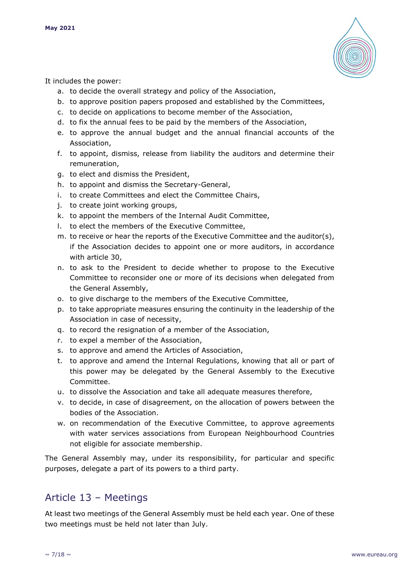

It includes the power:

- a. to decide the overall strategy and policy of the Association,
- b. to approve position papers proposed and established by the Committees,
- c. to decide on applications to become member of the Association,
- d. to fix the annual fees to be paid by the members of the Association,
- e. to approve the annual budget and the annual financial accounts of the Association,
- f. to appoint, dismiss, release from liability the auditors and determine their remuneration,
- g. to elect and dismiss the President,
- h. to appoint and dismiss the Secretary-General,
- i. to create Committees and elect the Committee Chairs,
- j. to create joint working groups,
- k. to appoint the members of the Internal Audit Committee,
- l. to elect the members of the Executive Committee,
- m. to receive or hear the reports of the Executive Committee and the auditor(s), if the Association decides to appoint one or more auditors, in accordance with article 30,
- n. to ask to the President to decide whether to propose to the Executive Committee to reconsider one or more of its decisions when delegated from the General Assembly,
- o. to give discharge to the members of the Executive Committee,
- p. to take appropriate measures ensuring the continuity in the leadership of the Association in case of necessity,
- q. to record the resignation of a member of the Association,
- r. to expel a member of the Association,
- s. to approve and amend the Articles of Association,
- t. to approve and amend the Internal Regulations, knowing that all or part of this power may be delegated by the General Assembly to the Executive Committee.
- u. to dissolve the Association and take all adequate measures therefore,
- v. to decide, in case of disagreement, on the allocation of powers between the bodies of the Association.
- w. on recommendation of the Executive Committee, to approve agreements with water services associations from European Neighbourhood Countries not eligible for associate membership.

The General Assembly may, under its responsibility, for particular and specific purposes, delegate a part of its powers to a third party.

#### Article 13 – Meetings

At least two meetings of the General Assembly must be held each year. One of these two meetings must be held not later than July.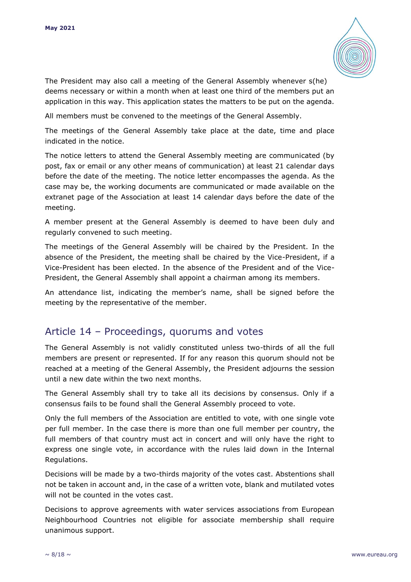

The President may also call a meeting of the General Assembly whenever s(he) deems necessary or within a month when at least one third of the members put an application in this way. This application states the matters to be put on the agenda.

All members must be convened to the meetings of the General Assembly.

The meetings of the General Assembly take place at the date, time and place indicated in the notice.

The notice letters to attend the General Assembly meeting are communicated (by post, fax or email or any other means of communication) at least 21 calendar days before the date of the meeting. The notice letter encompasses the agenda. As the case may be, the working documents are communicated or made available on the extranet page of the Association at least 14 calendar days before the date of the meeting.

A member present at the General Assembly is deemed to have been duly and regularly convened to such meeting.

The meetings of the General Assembly will be chaired by the President. In the absence of the President, the meeting shall be chaired by the Vice-President, if a Vice-President has been elected. In the absence of the President and of the Vice-President, the General Assembly shall appoint a chairman among its members.

An attendance list, indicating the member's name, shall be signed before the meeting by the representative of the member.

#### Article 14 – Proceedings, quorums and votes

The General Assembly is not validly constituted unless two-thirds of all the full members are present or represented. If for any reason this quorum should not be reached at a meeting of the General Assembly, the President adjourns the session until a new date within the two next months.

The General Assembly shall try to take all its decisions by consensus. Only if a consensus fails to be found shall the General Assembly proceed to vote.

Only the full members of the Association are entitled to vote, with one single vote per full member. In the case there is more than one full member per country, the full members of that country must act in concert and will only have the right to express one single vote, in accordance with the rules laid down in the Internal Regulations.

Decisions will be made by a two-thirds majority of the votes cast. Abstentions shall not be taken in account and, in the case of a written vote, blank and mutilated votes will not be counted in the votes cast.

Decisions to approve agreements with water services associations from European Neighbourhood Countries not eligible for associate membership shall require unanimous support.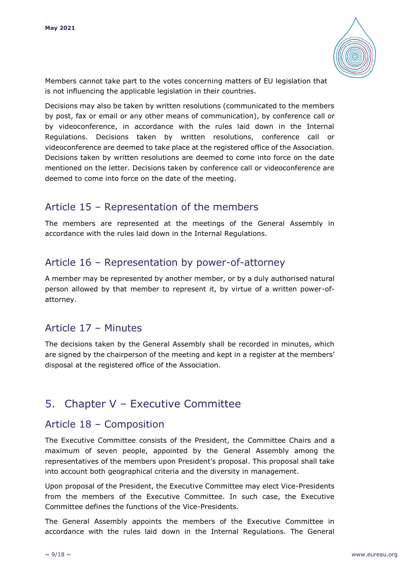

Members cannot take part to the votes concerning matters of EU legislation that is not influencing the applicable legislation in their countries.

Decisions may also be taken by written resolutions (communicated to the members by post, fax or email or any other means of communication), by conference call or by videoconference, in accordance with the rules laid down in the Internal Regulations. Decisions taken by written resolutions, conference call or videoconference are deemed to take place at the registered office of the Association. Decisions taken by written resolutions are deemed to come into force on the date mentioned on the letter. Decisions taken by conference call or videoconference are deemed to come into force on the date of the meeting.

## Article 15 – Representation of the members

The members are represented at the meetings of the General Assembly in accordance with the rules laid down in the Internal Regulations.

## Article 16 – Representation by power-of-attorney

A member may be represented by another member, or by a duly authorised natural person allowed by that member to represent it, by virtue of a written power-ofattorney.

## Article 17 – Minutes

The decisions taken by the General Assembly shall be recorded in minutes, which are signed by the chairperson of the meeting and kept in a register at the members' disposal at the registered office of the Association.

# 5. Chapter V – Executive Committee

#### Article 18 – Composition

The Executive Committee consists of the President, the Committee Chairs and a maximum of seven people, appointed by the General Assembly among the representatives of the members upon President's proposal. This proposal shall take into account both geographical criteria and the diversity in management.

Upon proposal of the President, the Executive Committee may elect Vice-Presidents from the members of the Executive Committee. In such case, the Executive Committee defines the functions of the Vice-Presidents.

The General Assembly appoints the members of the Executive Committee in accordance with the rules laid down in the Internal Regulations. The General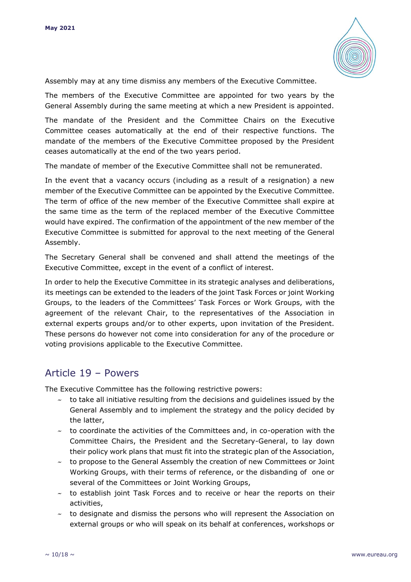

Assembly may at any time dismiss any members of the Executive Committee.

The members of the Executive Committee are appointed for two years by the General Assembly during the same meeting at which a new President is appointed.

The mandate of the President and the Committee Chairs on the Executive Committee ceases automatically at the end of their respective functions. The mandate of the members of the Executive Committee proposed by the President ceases automatically at the end of the two years period.

The mandate of member of the Executive Committee shall not be remunerated.

In the event that a vacancy occurs (including as a result of a resignation) a new member of the Executive Committee can be appointed by the Executive Committee. The term of office of the new member of the Executive Committee shall expire at the same time as the term of the replaced member of the Executive Committee would have expired. The confirmation of the appointment of the new member of the Executive Committee is submitted for approval to the next meeting of the General Assembly.

The Secretary General shall be convened and shall attend the meetings of the Executive Committee, except in the event of a conflict of interest.

In order to help the Executive Committee in its strategic analyses and deliberations, its meetings can be extended to the leaders of the joint Task Forces or joint Working Groups, to the leaders of the Committees' Task Forces or Work Groups, with the agreement of the relevant Chair, to the representatives of the Association in external experts groups and/or to other experts, upon invitation of the President. These persons do however not come into consideration for any of the procedure or voting provisions applicable to the Executive Committee.

#### Article 19 – Powers

The Executive Committee has the following restrictive powers:

- $\sim$  to take all initiative resulting from the decisions and guidelines issued by the General Assembly and to implement the strategy and the policy decided by the latter,
- $\sim$  to coordinate the activities of the Committees and, in co-operation with the Committee Chairs, the President and the Secretary-General, to lay down their policy work plans that must fit into the strategic plan of the Association,
- $\sim$  to propose to the General Assembly the creation of new Committees or Joint Working Groups, with their terms of reference, or the disbanding of one or several of the Committees or Joint Working Groups,
- $\sim$  to establish joint Task Forces and to receive or hear the reports on their activities,
- $\sim$  to designate and dismiss the persons who will represent the Association on external groups or who will speak on its behalf at conferences, workshops or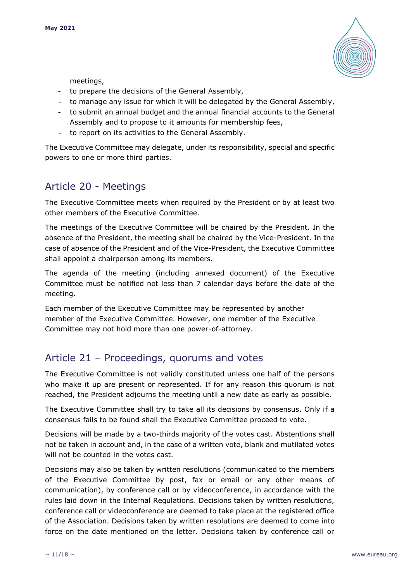

meetings,

- $\sim$  to prepare the decisions of the General Assembly,
- $\sim$  to manage any issue for which it will be delegated by the General Assembly,
- $\sim$  to submit an annual budget and the annual financial accounts to the General Assembly and to propose to it amounts for membership fees,
- $\sim$  to report on its activities to the General Assembly.

The Executive Committee may delegate, under its responsibility, special and specific powers to one or more third parties.

## Article 20 - Meetings

The Executive Committee meets when required by the President or by at least two other members of the Executive Committee.

The meetings of the Executive Committee will be chaired by the President. In the absence of the President, the meeting shall be chaired by the Vice-President. In the case of absence of the President and of the Vice-President, the Executive Committee shall appoint a chairperson among its members.

The agenda of the meeting (including annexed document) of the Executive Committee must be notified not less than 7 calendar days before the date of the meeting.

Each member of the Executive Committee may be represented by another member of the Executive Committee. However, one member of the Executive Committee may not hold more than one power-of-attorney.

## Article 21 – Proceedings, quorums and votes

The Executive Committee is not validly constituted unless one half of the persons who make it up are present or represented. If for any reason this quorum is not reached, the President adjourns the meeting until a new date as early as possible.

The Executive Committee shall try to take all its decisions by consensus. Only if a consensus fails to be found shall the Executive Committee proceed to vote.

Decisions will be made by a two-thirds majority of the votes cast. Abstentions shall not be taken in account and, in the case of a written vote, blank and mutilated votes will not be counted in the votes cast.

Decisions may also be taken by written resolutions (communicated to the members of the Executive Committee by post, fax or email or any other means of communication), by conference call or by videoconference, in accordance with the rules laid down in the Internal Regulations. Decisions taken by written resolutions, conference call or videoconference are deemed to take place at the registered office of the Association. Decisions taken by written resolutions are deemed to come into force on the date mentioned on the letter. Decisions taken by conference call or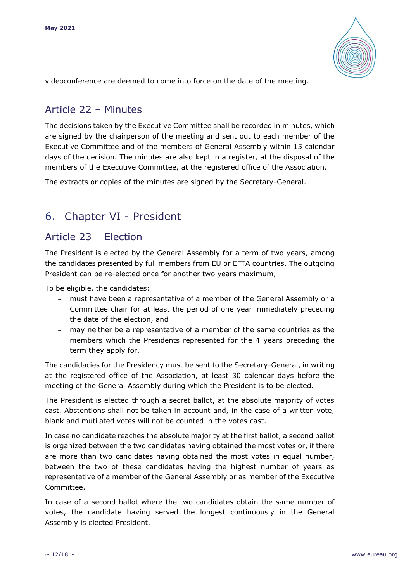

videoconference are deemed to come into force on the date of the meeting.

## Article 22 – Minutes

The decisions taken by the Executive Committee shall be recorded in minutes, which are signed by the chairperson of the meeting and sent out to each member of the Executive Committee and of the members of General Assembly within 15 calendar days of the decision. The minutes are also kept in a register, at the disposal of the members of the Executive Committee, at the registered office of the Association.

The extracts or copies of the minutes are signed by the Secretary-General.

# 6. Chapter VI - President

#### Article 23 – Election

The President is elected by the General Assembly for a term of two years, among the candidates presented by full members from EU or EFTA countries. The outgoing President can be re-elected once for another two years maximum,

To be eligible, the candidates:

- $\sim$  must have been a representative of a member of the General Assembly or a Committee chair for at least the period of one year immediately preceding the date of the election, and
- $\sim$  may neither be a representative of a member of the same countries as the members which the Presidents represented for the 4 years preceding the term they apply for.

The candidacies for the Presidency must be sent to the Secretary-General, in writing at the registered office of the Association, at least 30 calendar days before the meeting of the General Assembly during which the President is to be elected.

The President is elected through a secret ballot, at the absolute majority of votes cast. Abstentions shall not be taken in account and, in the case of a written vote, blank and mutilated votes will not be counted in the votes cast.

In case no candidate reaches the absolute majority at the first ballot, a second ballot is organized between the two candidates having obtained the most votes or, if there are more than two candidates having obtained the most votes in equal number, between the two of these candidates having the highest number of years as representative of a member of the General Assembly or as member of the Executive Committee.

In case of a second ballot where the two candidates obtain the same number of votes, the candidate having served the longest continuously in the General Assembly is elected President.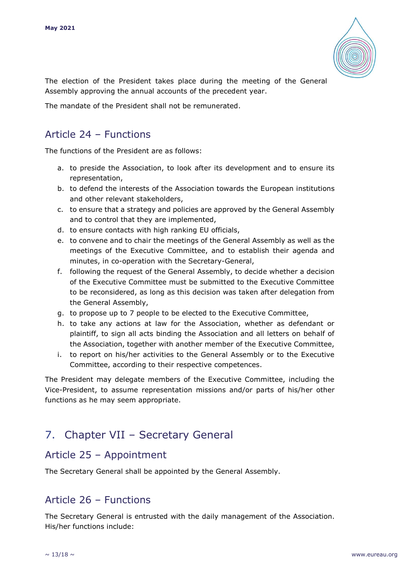

The election of the President takes place during the meeting of the General Assembly approving the annual accounts of the precedent year.

The mandate of the President shall not be remunerated.

## Article 24 – Functions

The functions of the President are as follows:

- a. to preside the Association, to look after its development and to ensure its representation,
- b. to defend the interests of the Association towards the European institutions and other relevant stakeholders,
- c. to ensure that a strategy and policies are approved by the General Assembly and to control that they are implemented,
- d. to ensure contacts with high ranking EU officials,
- e. to convene and to chair the meetings of the General Assembly as well as the meetings of the Executive Committee, and to establish their agenda and minutes, in co-operation with the Secretary-General,
- f. following the request of the General Assembly, to decide whether a decision of the Executive Committee must be submitted to the Executive Committee to be reconsidered, as long as this decision was taken after delegation from the General Assembly,
- g. to propose up to 7 people to be elected to the Executive Committee,
- h. to take any actions at law for the Association, whether as defendant or plaintiff, to sign all acts binding the Association and all letters on behalf of the Association, together with another member of the Executive Committee,
- i. to report on his/her activities to the General Assembly or to the Executive Committee, according to their respective competences.

The President may delegate members of the Executive Committee, including the Vice-President, to assume representation missions and/or parts of his/her other functions as he may seem appropriate.

# 7. Chapter VII – Secretary General

#### Article 25 – Appointment

The Secretary General shall be appointed by the General Assembly.

## Article 26 – Functions

The Secretary General is entrusted with the daily management of the Association. His/her functions include: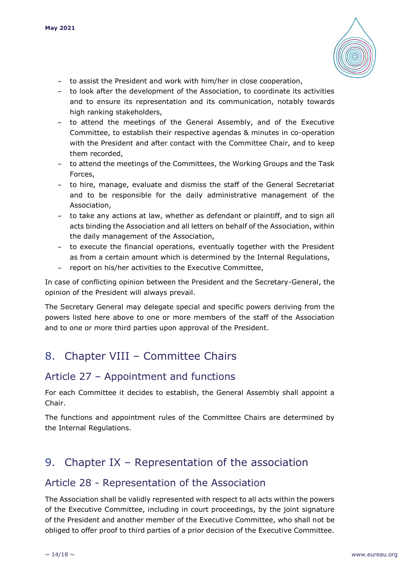

- $\sim$  to assist the President and work with him/her in close cooperation,
- $\sim$  to look after the development of the Association, to coordinate its activities and to ensure its representation and its communication, notably towards high ranking stakeholders,
- $\sim$  to attend the meetings of the General Assembly, and of the Executive Committee, to establish their respective agendas & minutes in co-operation with the President and after contact with the Committee Chair, and to keep them recorded,
- $\sim$  to attend the meetings of the Committees, the Working Groups and the Task Forces,
- $\sim$  to hire, manage, evaluate and dismiss the staff of the General Secretariat and to be responsible for the daily administrative management of the Association,
- $\sim$  to take any actions at law, whether as defendant or plaintiff, and to sign all acts binding the Association and all letters on behalf of the Association, within the daily management of the Association,
- $\sim$  to execute the financial operations, eventually together with the President as from a certain amount which is determined by the Internal Regulations,
- $\sim$  report on his/her activities to the Executive Committee,

In case of conflicting opinion between the President and the Secretary-General, the opinion of the President will always prevail.

The Secretary General may delegate special and specific powers deriving from the powers listed here above to one or more members of the staff of the Association and to one or more third parties upon approval of the President.

# 8. Chapter VIII – Committee Chairs

## Article 27 – Appointment and functions

For each Committee it decides to establish, the General Assembly shall appoint a Chair.

The functions and appointment rules of the Committee Chairs are determined by the Internal Regulations.

# 9. Chapter IX – Representation of the association

#### Article 28 - Representation of the Association

The Association shall be validly represented with respect to all acts within the powers of the Executive Committee, including in court proceedings, by the joint signature of the President and another member of the Executive Committee, who shall not be obliged to offer proof to third parties of a prior decision of the Executive Committee.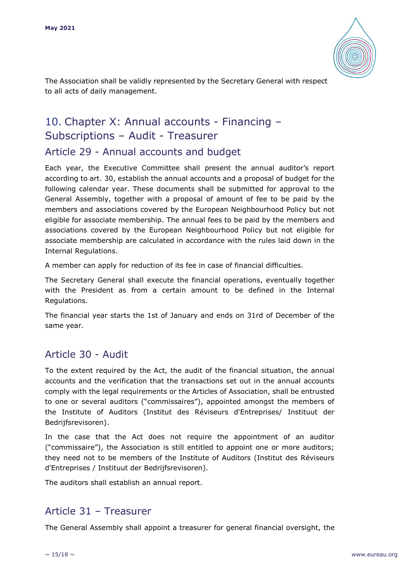

The Association shall be validly represented by the Secretary General with respect to all acts of daily management.

# 10. Chapter X: Annual accounts - Financing – Subscriptions – Audit - Treasurer

#### Article 29 - Annual accounts and budget

Each year, the Executive Committee shall present the annual auditor's report according to art. 30, establish the annual accounts and a proposal of budget for the following calendar year. These documents shall be submitted for approval to the General Assembly, together with a proposal of amount of fee to be paid by the members and associations covered by the European Neighbourhood Policy but not eligible for associate membership. The annual fees to be paid by the members and associations covered by the European Neighbourhood Policy but not eligible for associate membership are calculated in accordance with the rules laid down in the Internal Regulations.

A member can apply for reduction of its fee in case of financial difficulties.

The Secretary General shall execute the financial operations, eventually together with the President as from a certain amount to be defined in the Internal Regulations.

The financial year starts the 1st of January and ends on 31rd of December of the same year.

# Article 30 - Audit

To the extent required by the Act, the audit of the financial situation, the annual accounts and the verification that the transactions set out in the annual accounts comply with the legal requirements or the Articles of Association, shall be entrusted to one or several auditors ("commissaires"), appointed amongst the members of the Institute of Auditors (Institut des Réviseurs d'Entreprises/ Instituut der Bedrijfsrevisoren).

In the case that the Act does not require the appointment of an auditor ("commissaire"), the Association is still entitled to appoint one or more auditors; they need not to be members of the Institute of Auditors (Institut des Réviseurs d'Entreprises / Instituut der Bedrijfsrevisoren).

The auditors shall establish an annual report.

#### Article 31 – Treasurer

The General Assembly shall appoint a treasurer for general financial oversight, the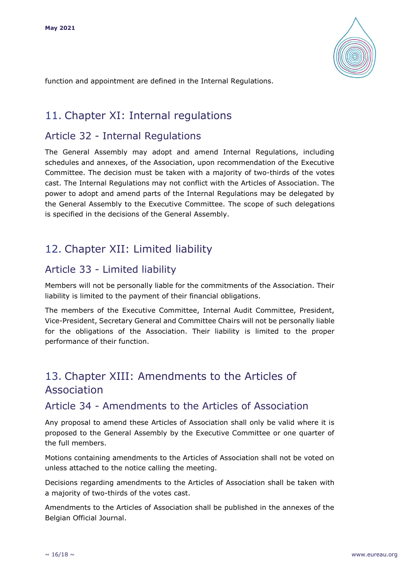

function and appointment are defined in the Internal Regulations.

# 11. Chapter XI: Internal regulations

#### Article 32 - Internal Regulations

The General Assembly may adopt and amend Internal Regulations, including schedules and annexes, of the Association, upon recommendation of the Executive Committee. The decision must be taken with a majority of two-thirds of the votes cast. The Internal Regulations may not conflict with the Articles of Association. The power to adopt and amend parts of the Internal Regulations may be delegated by the General Assembly to the Executive Committee. The scope of such delegations is specified in the decisions of the General Assembly.

# 12. Chapter XII: Limited liability

## Article 33 - Limited liability

Members will not be personally liable for the commitments of the Association. Their liability is limited to the payment of their financial obligations.

The members of the Executive Committee, Internal Audit Committee, President, Vice-President, Secretary General and Committee Chairs will not be personally liable for the obligations of the Association. Their liability is limited to the proper performance of their function.

# 13. Chapter XIII: Amendments to the Articles of Association

#### Article 34 - Amendments to the Articles of Association

Any proposal to amend these Articles of Association shall only be valid where it is proposed to the General Assembly by the Executive Committee or one quarter of the full members.

Motions containing amendments to the Articles of Association shall not be voted on unless attached to the notice calling the meeting.

Decisions regarding amendments to the Articles of Association shall be taken with a majority of two-thirds of the votes cast.

Amendments to the Articles of Association shall be published in the annexes of the Belgian Official Journal.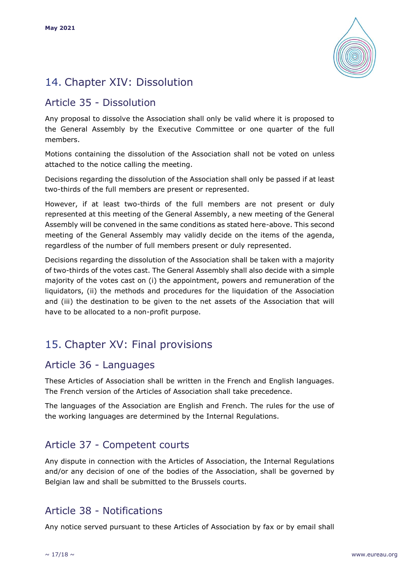

# 14. Chapter XIV: Dissolution

## Article 35 - Dissolution

Any proposal to dissolve the Association shall only be valid where it is proposed to the General Assembly by the Executive Committee or one quarter of the full members.

Motions containing the dissolution of the Association shall not be voted on unless attached to the notice calling the meeting.

Decisions regarding the dissolution of the Association shall only be passed if at least two-thirds of the full members are present or represented.

However, if at least two-thirds of the full members are not present or duly represented at this meeting of the General Assembly, a new meeting of the General Assembly will be convened in the same conditions as stated here-above. This second meeting of the General Assembly may validly decide on the items of the agenda, regardless of the number of full members present or duly represented.

Decisions regarding the dissolution of the Association shall be taken with a majority of two-thirds of the votes cast. The General Assembly shall also decide with a simple majority of the votes cast on (i) the appointment, powers and remuneration of the liquidators, (ii) the methods and procedures for the liquidation of the Association and (iii) the destination to be given to the net assets of the Association that will have to be allocated to a non-profit purpose.

# 15. Chapter XV: Final provisions

## Article 36 - Languages

These Articles of Association shall be written in the French and English languages. The French version of the Articles of Association shall take precedence.

The languages of the Association are English and French. The rules for the use of the working languages are determined by the Internal Regulations.

# Article 37 - Competent courts

Any dispute in connection with the Articles of Association, the Internal Regulations and/or any decision of one of the bodies of the Association, shall be governed by Belgian law and shall be submitted to the Brussels courts.

#### Article 38 - Notifications

Any notice served pursuant to these Articles of Association by fax or by email shall